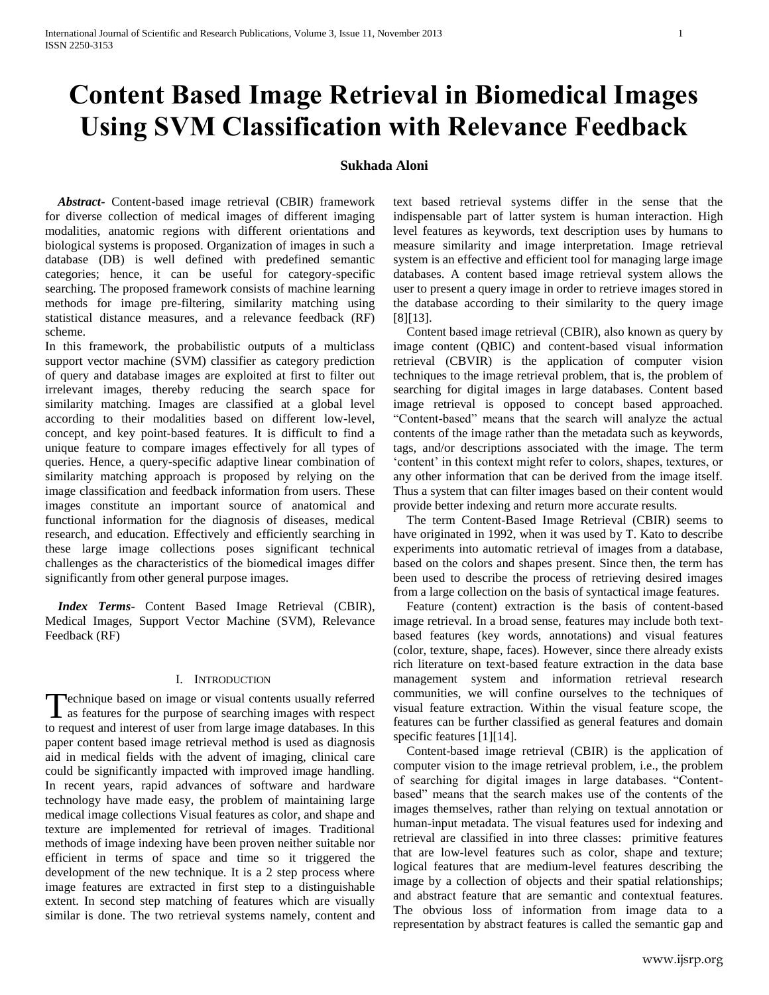# **Content Based Image Retrieval in Biomedical Images Using SVM Classification with Relevance Feedback**

# **Sukhada Aloni**

 *Abstract***-** Content-based image retrieval (CBIR) framework for diverse collection of medical images of different imaging modalities, anatomic regions with different orientations and biological systems is proposed. Organization of images in such a database (DB) is well defined with predefined semantic categories; hence, it can be useful for category-specific searching. The proposed framework consists of machine learning methods for image pre-filtering, similarity matching using statistical distance measures, and a relevance feedback (RF) scheme.

In this framework, the probabilistic outputs of a multiclass support vector machine (SVM) classifier as category prediction of query and database images are exploited at first to filter out irrelevant images, thereby reducing the search space for similarity matching. Images are classified at a global level according to their modalities based on different low-level, concept, and key point-based features. It is difficult to find a unique feature to compare images effectively for all types of queries. Hence, a query-specific adaptive linear combination of similarity matching approach is proposed by relying on the image classification and feedback information from users. These images constitute an important source of anatomical and functional information for the diagnosis of diseases, medical research, and education. Effectively and efficiently searching in these large image collections poses significant technical challenges as the characteristics of the biomedical images differ significantly from other general purpose images.

 *Index Terms*- Content Based Image Retrieval (CBIR), Medical Images, Support Vector Machine (SVM), Relevance Feedback (RF)

## I. INTRODUCTION

**T**echnique based on image or visual contents usually referred Technique based on image or visual contents usually referred<br>as features for the purpose of searching images with respect to request and interest of user from large image databases. In this paper content based image retrieval method is used as diagnosis aid in medical fields with the advent of imaging, clinical care could be significantly impacted with improved image handling. In recent years, rapid advances of software and hardware technology have made easy, the problem of maintaining large medical image collections Visual features as color, and shape and texture are implemented for retrieval of images. Traditional methods of image indexing have been proven neither suitable nor efficient in terms of space and time so it triggered the development of the new technique. It is a 2 step process where image features are extracted in first step to a distinguishable extent. In second step matching of features which are visually similar is done. The two retrieval systems namely, content and

text based retrieval systems differ in the sense that the indispensable part of latter system is human interaction. High level features as keywords, text description uses by humans to measure similarity and image interpretation. Image retrieval system is an effective and efficient tool for managing large image databases. A content based image retrieval system allows the user to present a query image in order to retrieve images stored in the database according to their similarity to the query image [8][13].

Content based image retrieval (CBIR), also known as query by image content (QBIC) and content-based visual information retrieval (CBVIR) is the application of computer vision techniques to the image retrieval problem, that is, the problem of searching for digital images in large databases. Content based image retrieval is opposed to concept based approached. "Content-based" means that the search will analyze the actual contents of the image rather than the metadata such as keywords, tags, and/or descriptions associated with the image. The term 'content' in this context might refer to colors, shapes, textures, or any other information that can be derived from the image itself. Thus a system that can filter images based on their content would provide better indexing and return more accurate results.

The term Content-Based Image Retrieval (CBIR) seems to have originated in 1992, when it was used by T. Kato to describe experiments into automatic retrieval of images from a database, based on the colors and shapes present. Since then, the term has been used to describe the process of retrieving desired images from a large collection on the basis of syntactical image features.

Feature (content) extraction is the basis of content-based image retrieval. In a broad sense, features may include both textbased features (key words, annotations) and visual features (color, texture, shape, faces). However, since there already exists rich literature on text-based feature extraction in the data base management system and information retrieval research communities, we will confine ourselves to the techniques of visual feature extraction. Within the visual feature scope, the features can be further classified as general features and domain specific features [1][14].

Content-based image retrieval (CBIR) is the application of computer vision to the image retrieval problem, i.e., the problem of searching for digital images in large databases. "Contentbased" means that the search makes use of the contents of the images themselves, rather than relying on textual annotation or human-input metadata. The visual features used for indexing and retrieval are classified in into three classes: primitive features that are low-level features such as color, shape and texture; logical features that are medium-level features describing the image by a collection of objects and their spatial relationships; and abstract feature that are semantic and contextual features. The obvious loss of information from image data to a representation by abstract features is called the semantic gap and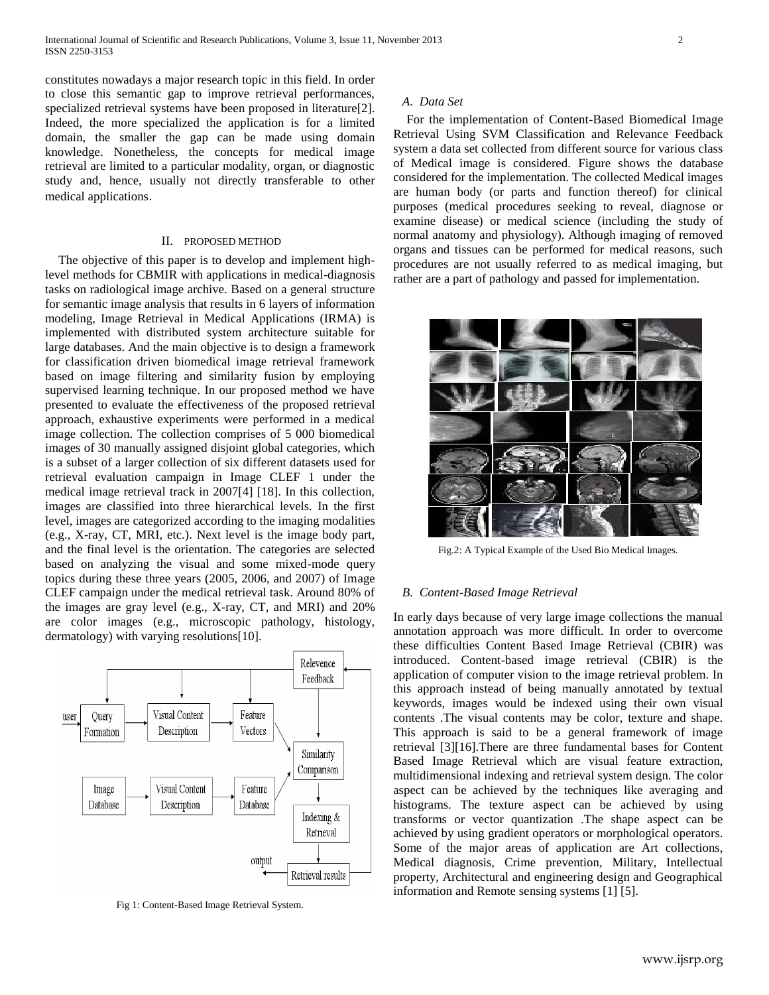constitutes nowadays a major research topic in this field. In order to close this semantic gap to improve retrieval performances, specialized retrieval systems have been proposed in literature[2]. Indeed, the more specialized the application is for a limited domain, the smaller the gap can be made using domain knowledge. Nonetheless, the concepts for medical image retrieval are limited to a particular modality, organ, or diagnostic study and, hence, usually not directly transferable to other medical applications.

#### II. PROPOSED METHOD

The objective of this paper is to develop and implement highlevel methods for CBMIR with applications in medical-diagnosis tasks on radiological image archive. Based on a general structure for semantic image analysis that results in 6 layers of information modeling, Image Retrieval in Medical Applications (IRMA) is implemented with distributed system architecture suitable for large databases. And the main objective is to design a framework for classification driven biomedical image retrieval framework based on image filtering and similarity fusion by employing supervised learning technique. In our proposed method we have presented to evaluate the effectiveness of the proposed retrieval approach, exhaustive experiments were performed in a medical image collection. The collection comprises of 5 000 biomedical images of 30 manually assigned disjoint global categories, which is a subset of a larger collection of six different datasets used for retrieval evaluation campaign in Image CLEF 1 under the medical image retrieval track in 2007[4] [18]. In this collection, images are classified into three hierarchical levels. In the first level, images are categorized according to the imaging modalities (e.g., X-ray, CT, MRI, etc.). Next level is the image body part, and the final level is the orientation. The categories are selected based on analyzing the visual and some mixed-mode query topics during these three years (2005, 2006, and 2007) of Image CLEF campaign under the medical retrieval task. Around 80% of the images are gray level (e.g., X-ray, CT, and MRI) and 20% are color images (e.g., microscopic pathology, histology, dermatology) with varying resolutions[10].



Fig 1: Content-Based Image Retrieval System.

#### *A. Data Set*

For the implementation of Content-Based Biomedical Image Retrieval Using SVM Classification and Relevance Feedback system a data set collected from different source for various class of Medical image is considered. Figure shows the database considered for the implementation. The collected Medical images are human body (or parts and function thereof) for clinical purposes (medical procedures seeking to reveal, diagnose or examine disease) or medical science (including the study of normal anatomy and physiology). Although imaging of removed organs and tissues can be performed for medical reasons, such procedures are not usually referred to as medical imaging, but rather are a part of pathology and passed for implementation.



Fig.2: A Typical Example of the Used Bio Medical Images.

#### *B. Content-Based Image Retrieval*

In early days because of very large image collections the manual annotation approach was more difficult. In order to overcome these difficulties Content Based Image Retrieval (CBIR) was introduced. Content-based image retrieval (CBIR) is the application of computer vision to the image retrieval problem. In this approach instead of being manually annotated by textual keywords, images would be indexed using their own visual contents .The visual contents may be color, texture and shape. This approach is said to be a general framework of image retrieval [3][16].There are three fundamental bases for Content Based Image Retrieval which are visual feature extraction, multidimensional indexing and retrieval system design. The color aspect can be achieved by the techniques like averaging and histograms. The texture aspect can be achieved by using transforms or vector quantization .The shape aspect can be achieved by using gradient operators or morphological operators. Some of the major areas of application are Art collections, Medical diagnosis, Crime prevention, Military, Intellectual property, Architectural and engineering design and Geographical information and Remote sensing systems [1] [5].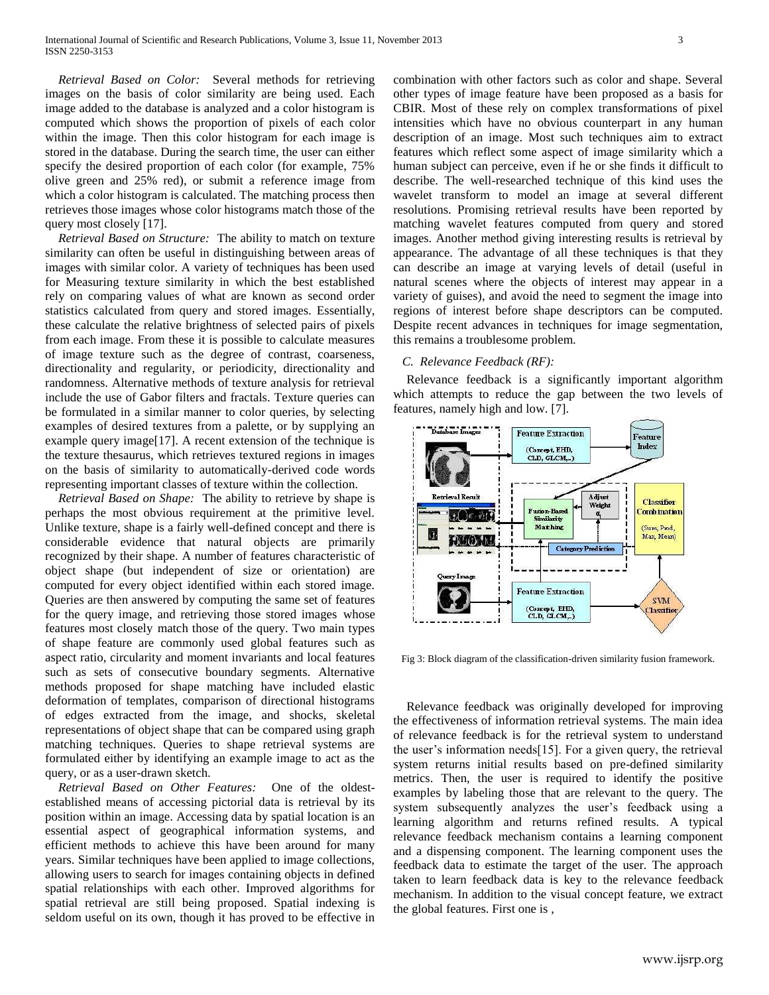*Retrieval Based on Color:* Several methods for retrieving images on the basis of color similarity are being used. Each image added to the database is analyzed and a color histogram is computed which shows the proportion of pixels of each color within the image. Then this color histogram for each image is stored in the database. During the search time, the user can either specify the desired proportion of each color (for example, 75% olive green and 25% red), or submit a reference image from which a color histogram is calculated. The matching process then retrieves those images whose color histograms match those of the query most closely [17].

*Retrieval Based on Structure:* The ability to match on texture similarity can often be useful in distinguishing between areas of images with similar color. A variety of techniques has been used for Measuring texture similarity in which the best established rely on comparing values of what are known as second order statistics calculated from query and stored images. Essentially, these calculate the relative brightness of selected pairs of pixels from each image. From these it is possible to calculate measures of image texture such as the degree of contrast, coarseness, directionality and regularity, or periodicity, directionality and randomness. Alternative methods of texture analysis for retrieval include the use of Gabor filters and fractals. Texture queries can be formulated in a similar manner to color queries, by selecting examples of desired textures from a palette, or by supplying an example query image[17]. A recent extension of the technique is the texture thesaurus, which retrieves textured regions in images on the basis of similarity to automatically-derived code words representing important classes of texture within the collection.

*Retrieval Based on Shape:* The ability to retrieve by shape is perhaps the most obvious requirement at the primitive level. Unlike texture, shape is a fairly well-defined concept and there is considerable evidence that natural objects are primarily recognized by their shape. A number of features characteristic of object shape (but independent of size or orientation) are computed for every object identified within each stored image. Queries are then answered by computing the same set of features for the query image, and retrieving those stored images whose features most closely match those of the query. Two main types of shape feature are commonly used global features such as aspect ratio, circularity and moment invariants and local features such as sets of consecutive boundary segments. Alternative methods proposed for shape matching have included elastic deformation of templates, comparison of directional histograms of edges extracted from the image, and shocks, skeletal representations of object shape that can be compared using graph matching techniques. Queries to shape retrieval systems are formulated either by identifying an example image to act as the query, or as a user-drawn sketch.

*Retrieval Based on Other Features:* One of the oldestestablished means of accessing pictorial data is retrieval by its position within an image. Accessing data by spatial location is an essential aspect of geographical information systems, and efficient methods to achieve this have been around for many years. Similar techniques have been applied to image collections, allowing users to search for images containing objects in defined spatial relationships with each other. Improved algorithms for spatial retrieval are still being proposed. Spatial indexing is seldom useful on its own, though it has proved to be effective in

combination with other factors such as color and shape. Several other types of image feature have been proposed as a basis for CBIR. Most of these rely on complex transformations of pixel intensities which have no obvious counterpart in any human description of an image. Most such techniques aim to extract features which reflect some aspect of image similarity which a human subject can perceive, even if he or she finds it difficult to describe. The well-researched technique of this kind uses the wavelet transform to model an image at several different resolutions. Promising retrieval results have been reported by matching wavelet features computed from query and stored images. Another method giving interesting results is retrieval by appearance. The advantage of all these techniques is that they can describe an image at varying levels of detail (useful in natural scenes where the objects of interest may appear in a variety of guises), and avoid the need to segment the image into regions of interest before shape descriptors can be computed. Despite recent advances in techniques for image segmentation, this remains a troublesome problem.

### *C. Relevance Feedback (RF):*

Relevance feedback is a significantly important algorithm which attempts to reduce the gap between the two levels of features, namely high and low. [7].



Fig 3: Block diagram of the classification-driven similarity fusion framework.

Relevance feedback was originally developed for improving the effectiveness of information retrieval systems. The main idea of relevance feedback is for the retrieval system to understand the user's information needs[15]. For a given query, the retrieval system returns initial results based on pre-defined similarity metrics. Then, the user is required to identify the positive examples by labeling those that are relevant to the query. The system subsequently analyzes the user's feedback using a learning algorithm and returns refined results. A typical relevance feedback mechanism contains a learning component and a dispensing component. The learning component uses the feedback data to estimate the target of the user. The approach taken to learn feedback data is key to the relevance feedback mechanism. In addition to the visual concept feature, we extract the global features. First one is ,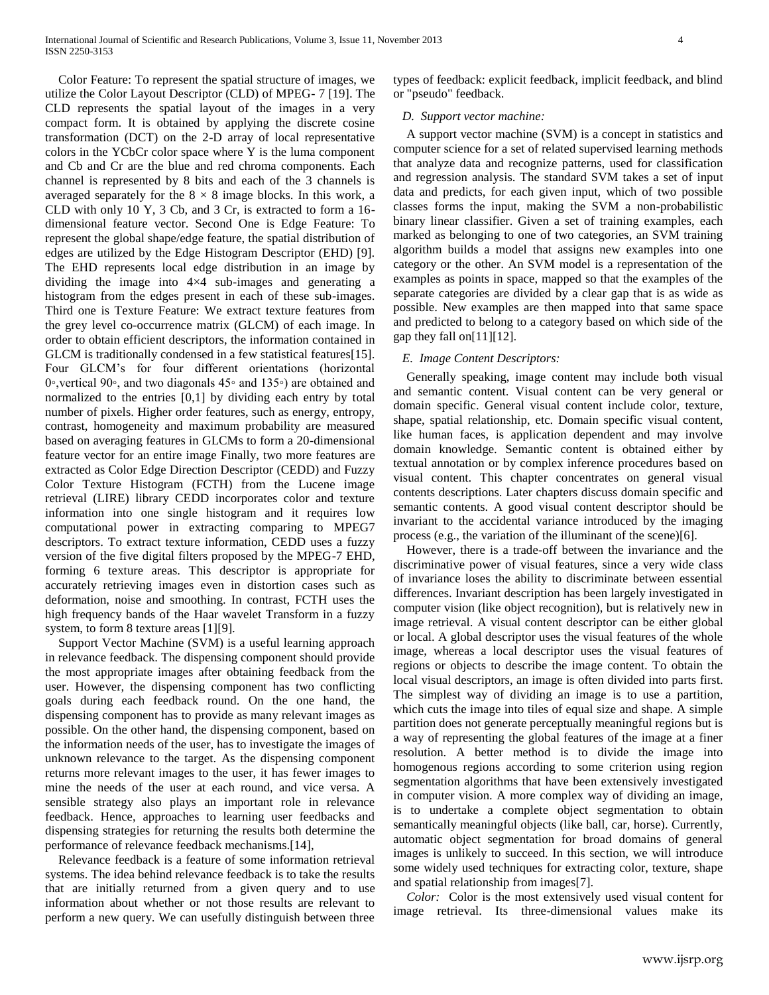Color Feature: To represent the spatial structure of images, we utilize the Color Layout Descriptor (CLD) of MPEG- 7 [19]. The CLD represents the spatial layout of the images in a very compact form. It is obtained by applying the discrete cosine transformation (DCT) on the 2-D array of local representative colors in the YCbCr color space where Y is the luma component and Cb and Cr are the blue and red chroma components. Each channel is represented by 8 bits and each of the 3 channels is averaged separately for the  $8 \times 8$  image blocks. In this work, a CLD with only 10 Y, 3 Cb, and 3 Cr, is extracted to form a 16 dimensional feature vector. Second One is Edge Feature: To represent the global shape/edge feature, the spatial distribution of edges are utilized by the Edge Histogram Descriptor (EHD) [9]. The EHD represents local edge distribution in an image by dividing the image into 4×4 sub-images and generating a histogram from the edges present in each of these sub-images. Third one is Texture Feature: We extract texture features from the grey level co-occurrence matrix (GLCM) of each image. In order to obtain efficient descriptors, the information contained in GLCM is traditionally condensed in a few statistical features[15]. Four GLCM's for four different orientations (horizontal 0◦,vertical 90◦, and two diagonals 45◦ and 135◦) are obtained and normalized to the entries [0,1] by dividing each entry by total number of pixels. Higher order features, such as energy, entropy, contrast, homogeneity and maximum probability are measured based on averaging features in GLCMs to form a 20-dimensional feature vector for an entire image Finally, two more features are extracted as Color Edge Direction Descriptor (CEDD) and Fuzzy Color Texture Histogram (FCTH) from the Lucene image retrieval (LIRE) library CEDD incorporates color and texture information into one single histogram and it requires low computational power in extracting comparing to MPEG7 descriptors. To extract texture information, CEDD uses a fuzzy version of the five digital filters proposed by the MPEG-7 EHD, forming 6 texture areas. This descriptor is appropriate for accurately retrieving images even in distortion cases such as deformation, noise and smoothing. In contrast, FCTH uses the high frequency bands of the Haar wavelet Transform in a fuzzy system, to form 8 texture areas [1][9].

Support Vector Machine (SVM) is a useful learning approach in relevance feedback. The dispensing component should provide the most appropriate images after obtaining feedback from the user. However, the dispensing component has two conflicting goals during each feedback round. On the one hand, the dispensing component has to provide as many relevant images as possible. On the other hand, the dispensing component, based on the information needs of the user, has to investigate the images of unknown relevance to the target. As the dispensing component returns more relevant images to the user, it has fewer images to mine the needs of the user at each round, and vice versa. A sensible strategy also plays an important role in relevance feedback. Hence, approaches to learning user feedbacks and dispensing strategies for returning the results both determine the performance of relevance feedback mechanisms.[14],

Relevance feedback is a feature of some information retrieval systems. The idea behind relevance feedback is to take the results that are initially returned from a given query and to use information about whether or not those results are relevant to perform a new query. We can usefully distinguish between three

types of feedback: explicit feedback, implicit feedback, and blind or "pseudo" feedback.

### *D. Support vector machine:*

A support vector machine (SVM) is a concept in statistics and computer science for a set of related supervised learning methods that analyze data and recognize patterns, used for classification and regression analysis. The standard SVM takes a set of input data and predicts, for each given input, which of two possible classes forms the input, making the SVM a non-probabilistic binary linear classifier. Given a set of training examples, each marked as belonging to one of two categories, an SVM training algorithm builds a model that assigns new examples into one category or the other. An SVM model is a representation of the examples as points in space, mapped so that the examples of the separate categories are divided by a clear gap that is as wide as possible. New examples are then mapped into that same space and predicted to belong to a category based on which side of the gap they fall on[11][12].

## *E. Image Content Descriptors:*

Generally speaking, image content may include both visual and semantic content. Visual content can be very general or domain specific. General visual content include color, texture, shape, spatial relationship, etc. Domain specific visual content, like human faces, is application dependent and may involve domain knowledge. Semantic content is obtained either by textual annotation or by complex inference procedures based on visual content. This chapter concentrates on general visual contents descriptions. Later chapters discuss domain specific and semantic contents. A good visual content descriptor should be invariant to the accidental variance introduced by the imaging process (e.g., the variation of the illuminant of the scene)[6].

However, there is a trade-off between the invariance and the discriminative power of visual features, since a very wide class of invariance loses the ability to discriminate between essential differences. Invariant description has been largely investigated in computer vision (like object recognition), but is relatively new in image retrieval. A visual content descriptor can be either global or local. A global descriptor uses the visual features of the whole image, whereas a local descriptor uses the visual features of regions or objects to describe the image content. To obtain the local visual descriptors, an image is often divided into parts first. The simplest way of dividing an image is to use a partition, which cuts the image into tiles of equal size and shape. A simple partition does not generate perceptually meaningful regions but is a way of representing the global features of the image at a finer resolution. A better method is to divide the image into homogenous regions according to some criterion using region segmentation algorithms that have been extensively investigated in computer vision. A more complex way of dividing an image, is to undertake a complete object segmentation to obtain semantically meaningful objects (like ball, car, horse). Currently, automatic object segmentation for broad domains of general images is unlikely to succeed. In this section, we will introduce some widely used techniques for extracting color, texture, shape and spatial relationship from images[7].

*Color:* Color is the most extensively used visual content for image retrieval. Its three-dimensional values make its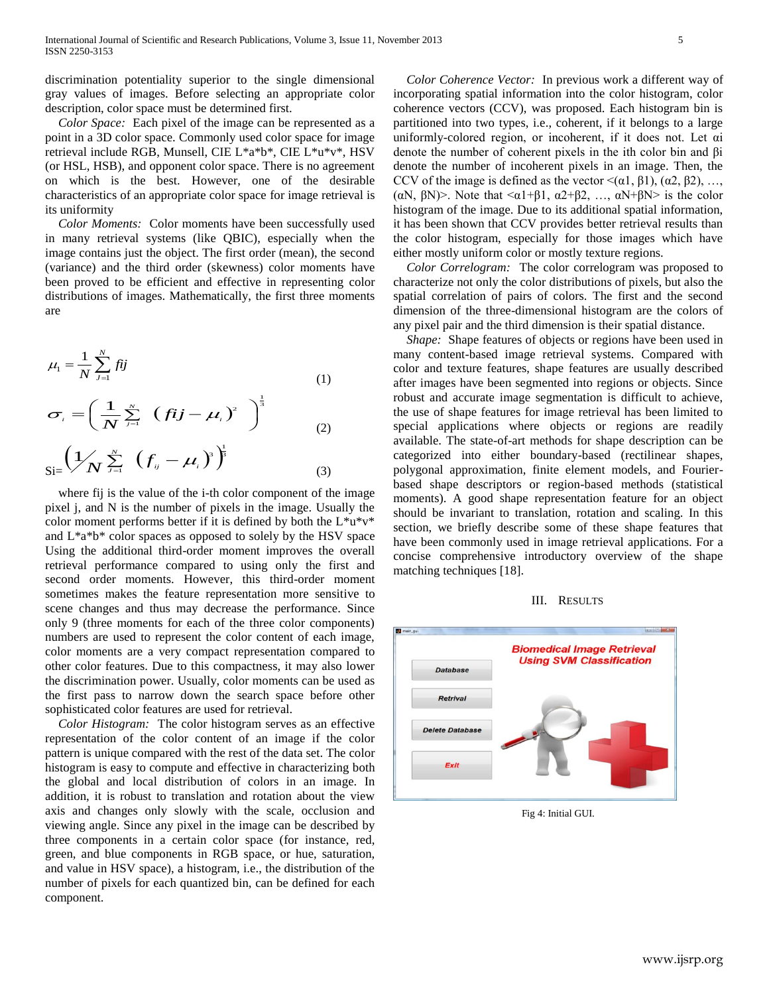discrimination potentiality superior to the single dimensional gray values of images. Before selecting an appropriate color description, color space must be determined first.

*Color Space:* Each pixel of the image can be represented as a point in a 3D color space. Commonly used color space for image retrieval include RGB, Munsell, CIE L\*a\*b\*, CIE L\*u\*v\*, HSV (or HSL, HSB), and opponent color space. There is no agreement on which is the best. However, one of the desirable characteristics of an appropriate color space for image retrieval is its uniformity

*Color Moments:* Color moments have been successfully used in many retrieval systems (like QBIC), especially when the image contains just the object. The first order (mean), the second (variance) and the third order (skewness) color moments have been proved to be efficient and effective in representing color distributions of images. Mathematically, the first three moments are

$$
\mu_{1} = \frac{1}{N} \sum_{j=1}^{N} f_{ij}
$$
\n
$$
\sigma_{i} = \left(\frac{1}{N} \sum_{j=1}^{N} (f_{ij} - \mu_{i})^{2}\right)^{\frac{1}{3}}
$$
\n
$$
S_{ij} = \left(\frac{1}{N} \sum_{j=1}^{N} (f_{ij} - \mu_{i})^{3}\right)^{\frac{1}{3}}
$$
\n(3)

where fij is the value of the i-th color component of the image pixel j, and N is the number of pixels in the image. Usually the color moment performs better if it is defined by both the  $L^*u^*v^*$ and L\*a\*b\* color spaces as opposed to solely by the HSV space Using the additional third-order moment improves the overall retrieval performance compared to using only the first and second order moments. However, this third-order moment sometimes makes the feature representation more sensitive to scene changes and thus may decrease the performance. Since only 9 (three moments for each of the three color components) numbers are used to represent the color content of each image, color moments are a very compact representation compared to other color features. Due to this compactness, it may also lower the discrimination power. Usually, color moments can be used as the first pass to narrow down the search space before other sophisticated color features are used for retrieval.

*Color Histogram:* The color histogram serves as an effective representation of the color content of an image if the color pattern is unique compared with the rest of the data set. The color histogram is easy to compute and effective in characterizing both the global and local distribution of colors in an image. In addition, it is robust to translation and rotation about the view axis and changes only slowly with the scale, occlusion and viewing angle. Since any pixel in the image can be described by three components in a certain color space (for instance, red, green, and blue components in RGB space, or hue, saturation, and value in HSV space), a histogram, i.e., the distribution of the number of pixels for each quantized bin, can be defined for each component.

*Color Coherence Vector:* In previous work a different way of incorporating spatial information into the color histogram, color coherence vectors (CCV), was proposed. Each histogram bin is partitioned into two types, i.e., coherent, if it belongs to a large uniformly-colored region, or incoherent, if it does not. Let αi denote the number of coherent pixels in the ith color bin and βi denote the number of incoherent pixels in an image. Then, the CCV of the image is defined as the vector  $\langle \alpha 1, \beta 1 \rangle$ ,  $(\alpha 2, \beta 2)$ , ..., ( $\alpha$ N,  $\beta$ N)>. Note that < $\alpha$ 1+ $\beta$ 1,  $\alpha$ 2+ $\beta$ 2, ...,  $\alpha$ N+ $\beta$ N> is the color histogram of the image. Due to its additional spatial information, it has been shown that CCV provides better retrieval results than the color histogram, especially for those images which have either mostly uniform color or mostly texture regions.

*Color Correlogram:* The color correlogram was proposed to characterize not only the color distributions of pixels, but also the spatial correlation of pairs of colors. The first and the second dimension of the three-dimensional histogram are the colors of any pixel pair and the third dimension is their spatial distance.

*Shape:* Shape features of objects or regions have been used in many content-based image retrieval systems. Compared with color and texture features, shape features are usually described after images have been segmented into regions or objects. Since robust and accurate image segmentation is difficult to achieve, the use of shape features for image retrieval has been limited to special applications where objects or regions are readily available. The state-of-art methods for shape description can be categorized into either boundary-based (rectilinear shapes, polygonal approximation, finite element models, and Fourierbased shape descriptors or region-based methods (statistical moments). A good shape representation feature for an object should be invariant to translation, rotation and scaling. In this section, we briefly describe some of these shape features that have been commonly used in image retrieval applications. For a concise comprehensive introductory overview of the shape matching techniques [18].

III. RESULTS



Fig 4: Initial GUI.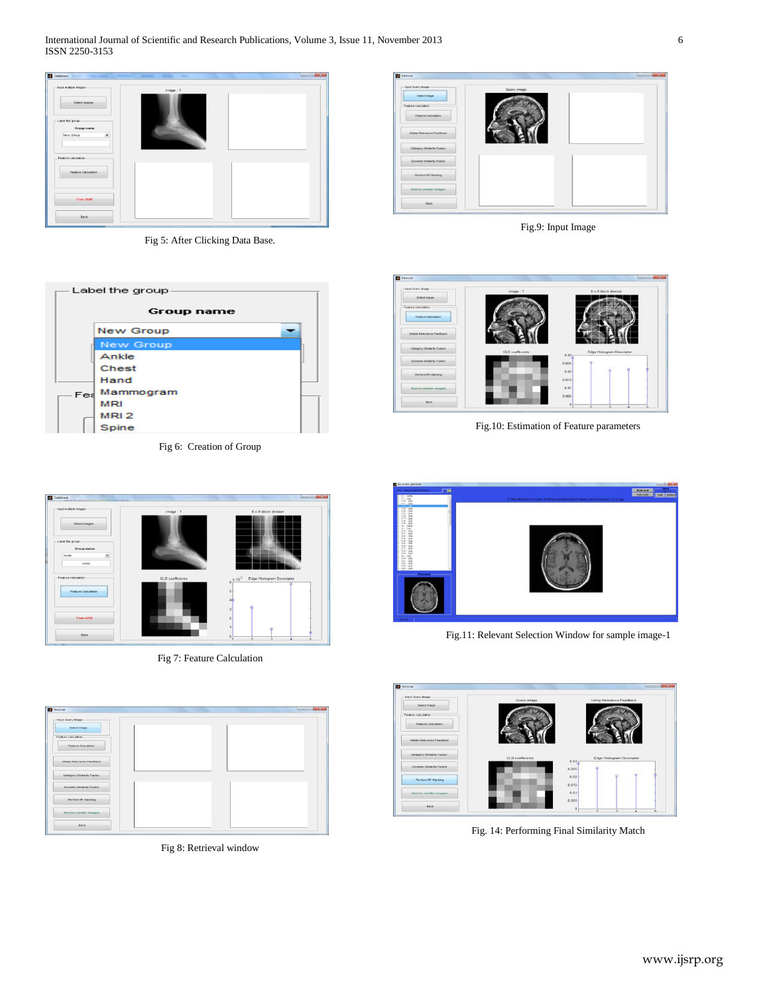

Fig 5: After Clicking Data Base.



Fig.9: Input Image



Fig 6: Creation of Group



Fig 7: Feature Calculation



Fig 8: Retrieval window



Fig.10: Estimation of Feature parameters



Fig.11: Relevant Selection Window for sample image-1



Fig. 14: Performing Final Similarity Match